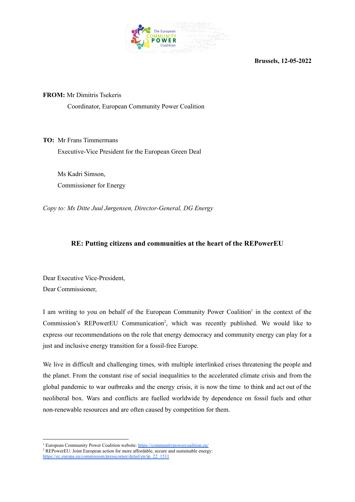

**Brussels, 12-05-2022**

**FROM:** Mr Dimitris Tsekeris Coordinator, European Community Power Coalition

**TO:** Mr Frans Timmermans Executive-Vice President for the European Green Deal

Ms Kadri Simson, Commissioner for Energy

*Copy to: Ms Ditte Juul Jørgensen, Director-General, DG Energy*

## **RE: Putting citizens and communities at the heart of the REPowerEU**

Dear Executive Vice-President, Dear Commissioner,

I am writing to you on behalf of the European Community Power Coalition<sup>1</sup> in the context of the Commission's REPowerEU Communication<sup>2</sup>, which was recently published. We would like to express our recommendations on the role that energy democracy and community energy can play for a just and inclusive energy transition for a fossil-free Europe.

We live in difficult and challenging times, with multiple interlinked crises threatening the people and the planet. From the constant rise of social inequalities to the accelerated climate crisis and from the global pandemic to war outbreaks and the energy crisis, it is now the time to think and act out of the neoliberal box. Wars and conflicts are fuelled worldwide by dependence on fossil fuels and other non-renewable resources and are often caused by competition for them.

<sup>&</sup>lt;sup>1</sup> European Community Power Coalition website: <https://communitypowercoalition.eu/>

<sup>&</sup>lt;sup>2</sup> REPowerEU: Joint European action for more affordable, secure and sustainable energy:

[https://ec.europa.eu/commission/presscorner/detail/en/ip\\_22\\_1511](https://ec.europa.eu/commission/presscorner/detail/en/ip_22_1511)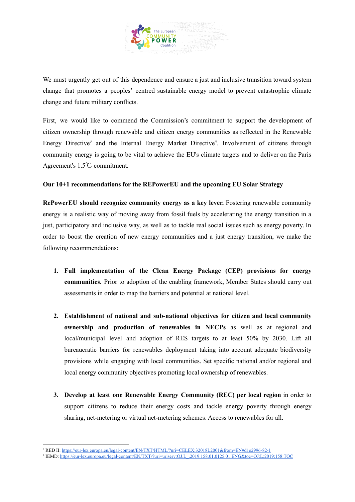

We must urgently get out of this dependence and ensure a just and inclusive transition toward system change that promotes a peoples' centred sustainable energy model to prevent catastrophic climate change and future military conflicts.

First, we would like to commend the Commission's commitment to support the development of citizen ownership through renewable and citizen energy communities as reflected in the Renewable Energy Directive<sup>3</sup> and the Internal Energy Market Directive<sup>4</sup>. Involvement of citizens through community energy is going to be vital to achieve the EU's climate targets and to deliver on the Paris Agreement's 1.5℃ commitment.

## **Our 10+1 recommendations for the REPowerEU and the upcoming EU Solar Strategy**

**RePowerEU should recognize community energy as a key lever.** Fostering renewable community energy is a realistic way of moving away from fossil fuels by accelerating the energy transition in a just, participatory and inclusive way, as well as to tackle real social issues such as energy poverty. In order to boost the creation of new energy communities and a just energy transition, we make the following recommendations:

- **1. Full implementation of the Clean Energy Package (CEP) provisions for energy communities.** Prior to adoption of the enabling framework, Member States should carry out assessments in order to map the barriers and potential at national level.
- **2. Establishment of national and sub-national objectives for citizen and local community ownership and production of renewables in NECPs** as well as at regional and local/municipal level and adoption of RES targets to at least 50% by 2030. Lift all bureaucratic barriers for renewables deployment taking into account adequate biodiversity provisions while engaging with local communities. Set specific national and/or regional and local energy community objectives promoting local ownership of renewables.
- **3. Develop at least one Renewable Energy Community (REC) per local region** in order to support citizens to reduce their energy costs and tackle energy poverty through energy sharing, net-metering or virtual net-metering schemes. Access to renewables for all.

<sup>3</sup> RED II: <https://eur-lex.europa.eu/legal-content/EN/TXT/HTML/?uri=CELEX:32018L2001&from=EN#d1e2996-82-1>

<sup>4</sup> IEMD: [https://eur-lex.europa.eu/legal-content/EN/TXT/?uri=uriserv:OJ.L\\_.2019.158.01.0125.01.ENG&toc=OJ:L:2019:158:TOC](https://eur-lex.europa.eu/legal-content/EN/TXT/?uri=uriserv:OJ.L_.2019.158.01.0125.01.ENG&toc=OJ:L:2019:158:TOC)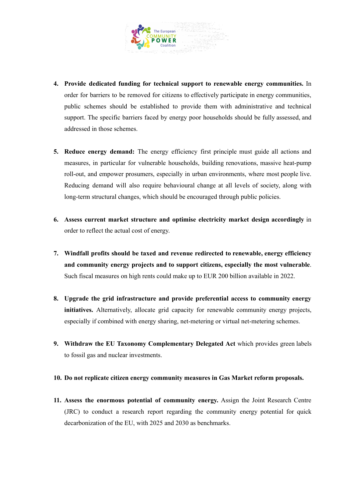

- **4. Provide dedicated funding for technical support to renewable energy communities.** In order for barriers to be removed for citizens to effectively participate in energy communities, public schemes should be established to provide them with administrative and technical support. The specific barriers faced by energy poor households should be fully assessed, and addressed in those schemes.
- **5. Reduce energy demand:** The energy efficiency first principle must guide all actions and measures, in particular for vulnerable households, building renovations, massive heat-pump roll-out, and empower prosumers, especially in urban environments, where most people live. Reducing demand will also require behavioural change at all levels of society, along with long-term structural changes, which should be encouraged through public policies.
- **6. Assess current market structure and optimise electricity market design accordingly** in order to reflect the actual cost of energy.
- **7. Windfall profits should be taxed and revenue redirected to renewable, energy efficiency and community energy projects and to support citizens, especially the most vulnerable**. Such fiscal measures on high rents could make up to EUR 200 billion available in 2022.
- **8. Upgrade the grid infrastructure and provide preferential access to community energy initiatives.** Alternatively, allocate grid capacity for renewable community energy projects, especially if combined with energy sharing, net-metering or virtual net-metering schemes.
- **9. Withdraw the EU Taxonomy Complementary Delegated Act** which provides green labels to fossil gas and nuclear investments.

## **10. Do not replicate citizen energy community measures in Gas Market reform proposals.**

**11. Assess the enormous potential of community energy.** Assign the Joint Research Centre (JRC) to conduct a research report regarding the community energy potential for quick decarbonization of the EU, with 2025 and 2030 as benchmarks.